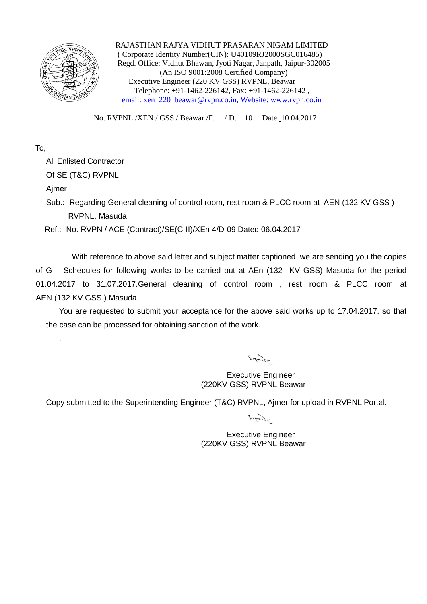

 RAJASTHAN RAJYA VIDHUT PRASARAN NIGAM LIMITED ( Corporate Identity Number(CIN): U40109RJ2000SGC016485) Regd. Office: Vidhut Bhawan, Jyoti Nagar, Janpath, Jaipur-302005 (An ISO 9001:2008 Certified Company) Executive Engineer (220 KV GSS) RVPNL, Beawar Telephone: +91-1462-226142, Fax: +91-1462-226142 , email: xen\_220\_beawar@rvpn.co.in, Website: www.rvpn.co.in

No. RVPNL /XEN / GSS / Beawar /F. / D. 10 Date 10.04.2017

## To,

All Enlisted Contractor

Of SE (T&C) RVPNL

Ajmer

.

Sub.:- Regarding General cleaning of control room, rest room & PLCC room at AEN (132 KV GSS) RVPNL, Masuda

Ref.:- No. RVPN / ACE (Contract)/SE(C-II)/XEn 4/D-09 Dated 06.04.2017

With reference to above said letter and subject matter captioned we are sending you the copies of G – Schedules for following works to be carried out at AEn (132 KV GSS) Masuda for the period 01.04.2017 to 31.07.2017.General cleaning of control room , rest room & PLCC room at AEN (132 KV GSS ) Masuda.

You are requested to submit your acceptance for the above said works up to 17.04.2017, so that the case can be processed for obtaining sanction of the work.

 $rac{1}{2}$ 

Executive Engineer (220KV GSS) RVPNL Beawar

Copy submitted to the Superintending Engineer (T&C) RVPNL, Ajmer for upload in RVPNL Portal.

 $3.77.2.7$ 

Executive Engineer (220KV GSS) RVPNL Beawar